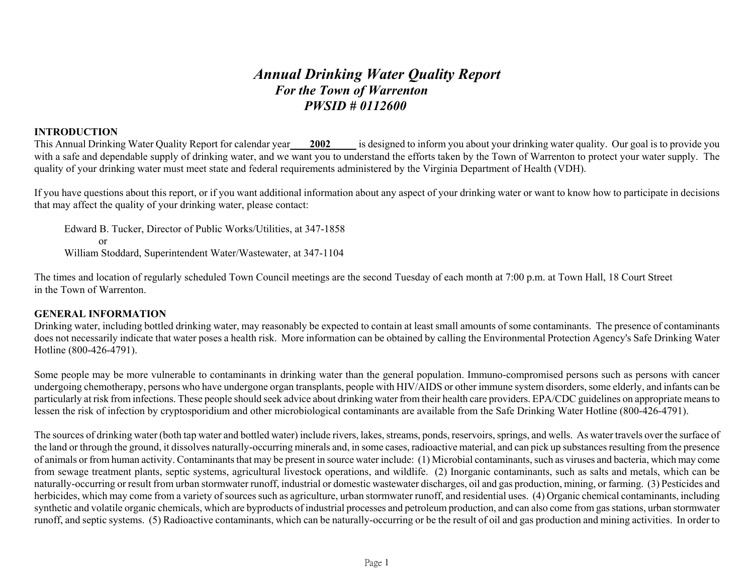# *Annual Drinking Water Quality Report For the Town of Warrenton PWSID # 0112600*

# **INTRODUCTION**

This Annual Drinking Water Quality Report for calendar year **2002** is designed to inform you about your drinking water quality. Our goal is to provide you with a safe and dependable supply of drinking water, and we want you to understand the efforts taken by the Town of Warrenton to protect your water supply. The quality of your drinking water must meet state and federal requirements administered by the Virginia Department of Health (VDH).

If you have questions about this report, or if you want additional information about any aspect of your drinking water or want to know how to participate in decisions that may affect the quality of your drinking water, please contact:

Edward B. Tucker, Director of Public Works/Utilities, at 347-1858 or William Stoddard, Superintendent Water/Wastewater, at 347-1104

The times and location of regularly scheduled Town Council meetings are the second Tuesday of each month at 7:00 p.m. at Town Hall, 18 Court Street in the Town of Warrenton.

# **GENERAL INFORMATION**

Drinking water, including bottled drinking water, may reasonably be expected to contain at least small amounts of some contaminants. The presence of contaminants does not necessarily indicate that water poses a health risk. More information can be obtained by calling the Environmental Protection Agency's Safe Drinking Water Hotline (800-426-4791).

Some people may be more vulnerable to contaminants in drinking water than the general population. Immuno-compromised persons such as persons with cancer undergoing chemotherapy, persons who have undergone organ transplants, people with HIV/AIDS or other immune system disorders, some elderly, and infants can be particularly at risk from infections. These people should seek advice about drinking water from their health care providers. EPA/CDC guidelines on appropriate means to lessen the risk of infection by cryptosporidium and other microbiological contaminants are available from the Safe Drinking Water Hotline (800-426-4791).

The sources of drinking water (both tap water and bottled water) include rivers, lakes, streams, ponds, reservoirs, springs, and wells. As water travels over the surface of the land or through the ground, it dissolves naturally-occurring minerals and, in some cases, radioactive material, and can pick up substances resulting from the presence of animals or from human activity. Contaminants that may be present in source water include: (1) Microbial contaminants, such as viruses and bacteria, which may come from sewage treatment plants, septic systems, agricultural livestock operations, and wildlife. (2) Inorganic contaminants, such as salts and metals, which can be naturally-occurring or result from urban stormwater runoff, industrial or domestic wastewater discharges, oil and gas production, mining, or farming. (3) Pesticides and herbicides, which may come from a variety of sources such as agriculture, urban stormwater runoff, and residential uses. (4) Organic chemical contaminants, including synthetic and volatile organic chemicals, which are byproducts of industrial processes and petroleum production, and can also come from gas stations, urban stormwater runoff, and septic systems. (5) Radioactive contaminants, which can be naturally-occurring or be the result of oil and gas production and mining activities. In order to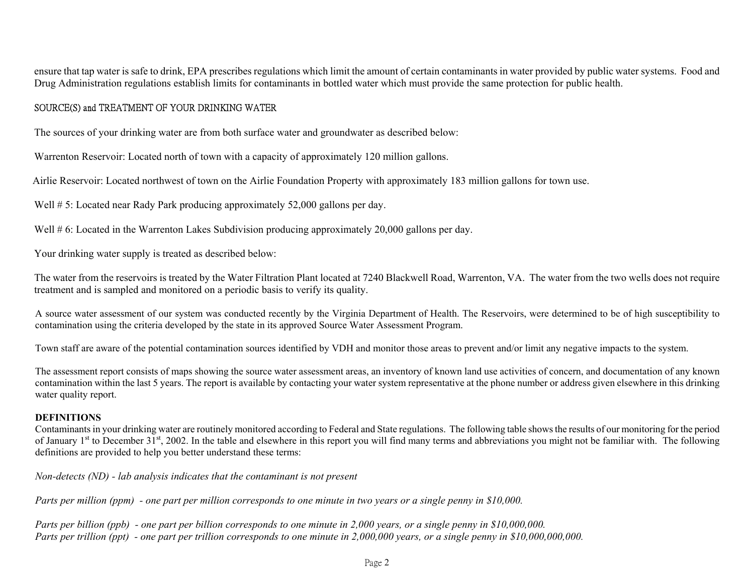ensure that tap water is safe to drink, EPA prescribes regulations which limit the amount of certain contaminants in water provided by public water systems. Food and Drug Administration regulations establish limits for contaminants in bottled water which must provide the same protection for public health.

# SOURCE(S) and TREATMENT OF YOUR DRINKING WATER

The sources of your drinking water are from both surface water and groundwater as described below:

Warrenton Reservoir: Located north of town with a capacity of approximately 120 million gallons.

Airlie Reservoir: Located northwest of town on the Airlie Foundation Property with approximately 183 million gallons for town use.

Well # 5: Located near Rady Park producing approximately 52,000 gallons per day.

Well # 6: Located in the Warrenton Lakes Subdivision producing approximately 20,000 gallons per day.

Your drinking water supply is treated as described below:

The water from the reservoirs is treated by the Water Filtration Plant located at 7240 Blackwell Road, Warrenton, VA. The water from the two wells does not require treatment and is sampled and monitored on a periodic basis to verify its quality.

A source water assessment of our system was conducted recently by the Virginia Department of Health. The Reservoirs, were determined to be of high susceptibility to contamination using the criteria developed by the state in its approved Source Water Assessment Program.

Town staff are aware of the potential contamination sources identified by VDH and monitor those areas to prevent and/or limit any negative impacts to the system.

The assessment report consists of maps showing the source water assessment areas, an inventory of known land use activities of concern, and documentation of any known contamination within the last 5 years. The report is available by contacting your water system representative at the phone number or address given elsewhere in this drinking water quality report.

#### **DEFINITIONS**

Contaminants in your drinking water are routinely monitored according to Federal and State regulations. The following table shows the results of our monitoring for the period of January 1<sup>st</sup> to December  $31^{st}$ , 2002. In the table and elsewhere in this report you will find many terms and abbreviations you might not be familiar with. The following definitions are provided to help you better understand these terms:

*Non-detects (ND) - lab analysis indicates that the contaminant is not present* 

*Parts per million (ppm) - one part per million corresponds to one minute in two years or a single penny in \$10,000.* 

*Parts per billion (ppb) - one part per billion corresponds to one minute in 2,000 years, or a single penny in \$10,000,000. Parts per trillion (ppt) - one part per trillion corresponds to one minute in 2,000,000 years, or a single penny in \$10,000,000,000.*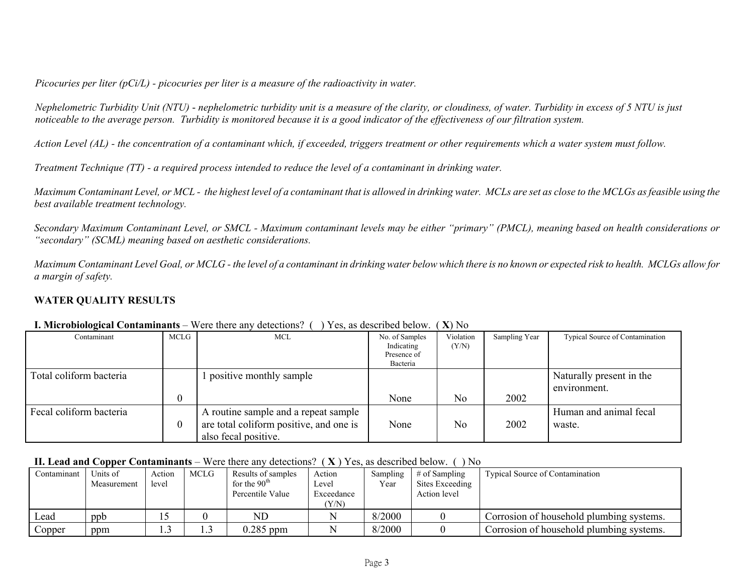*Picocuries per liter (pCi/L) - picocuries per liter is a measure of the radioactivity in water.* 

*Nephelometric Turbidity Unit (NTU)* - *nephelometric turbidity unit is a measure of the clarity, or cloudiness, of water. Turbidity in excess of 5 NTU is just noticeable to the average person. Turbidity is monitored because it is a good indicator of the effectiveness of our filtration system.* 

*Action Level (AL) - the concentration of a contaminant which, if exceeded, triggers treatment or other requirements which a water system must follow.* 

*Treatment Technique (TT) - a required process intended to reduce the level of a contaminant in drinking water.* 

*Maximum Contaminant Level, or MCL - the highest level of a contaminant that is allowed in drinking water. MCLs are set as close to the MCLGs as feasible using the best available treatment technology.* 

*Secondary Maximum Contaminant Level, or SMCL - Maximum contaminant levels may be either "primary" (PMCL), meaning based on health considerations or "secondary" (SCML) meaning based on aesthetic considerations.* 

*Maximum Contaminant Level Goal, or MCLG - the level of a contaminant in drinking water below which there is no known or expected risk to health. MCLGs allow for a margin of safety.* 

# **WATER QUALITY RESULTS**

|                         |          | $-20 - 10 - 10 - 10 = 0$                |                                                         | $\cdots$           |               |                                          |
|-------------------------|----------|-----------------------------------------|---------------------------------------------------------|--------------------|---------------|------------------------------------------|
| Contaminant             | MCLG     | MCL                                     | No. of Samples<br>Indicating<br>Presence of<br>Bacteria | Violation<br>(Y/N) | Sampling Year | <b>Typical Source of Contamination</b>   |
|                         |          |                                         |                                                         |                    |               |                                          |
| Total coliform bacteria |          | positive monthly sample                 |                                                         |                    |               | Naturally present in the<br>environment. |
|                         |          |                                         |                                                         |                    |               |                                          |
|                         |          |                                         | None                                                    | N <sub>0</sub>     | 2002          |                                          |
| Fecal coliform bacteria |          | A routine sample and a repeat sample    |                                                         |                    |               | Human and animal fecal                   |
|                         | $\theta$ | are total coliform positive, and one is | None                                                    | No                 | 2002          | waste.                                   |
|                         |          | also fecal positive.                    |                                                         |                    |               |                                          |

#### **I. Microbiological Contaminants** – Were there any detections? ( ) Yes, as described below. ( **X**) No

# **II. Lead and Copper Contaminants** – Were there any detections? ( **X** ) Yes, as described below. ( ) No

| Contaminant | Units of    | Action | MCLG | Results of samples | Action     | Sampling | $\#$ of Sampling | <b>Typical Source of Contamination</b>   |
|-------------|-------------|--------|------|--------------------|------------|----------|------------------|------------------------------------------|
|             | Measurement | level  |      | for the $90th$     | Level      | Year     | Sites Exceeding  |                                          |
|             |             |        |      | Percentile Value   | Exceedance |          | Action level     |                                          |
|             |             |        |      |                    | (Y/N)      |          |                  |                                          |
| Lead        | ppb         |        |      | ND                 |            | 8/2000   |                  | Corrosion of household plumbing systems. |
| Copper      | ppm         |        |      | $0.285$ ppm        |            | 8/2000   |                  | Corrosion of household plumbing systems. |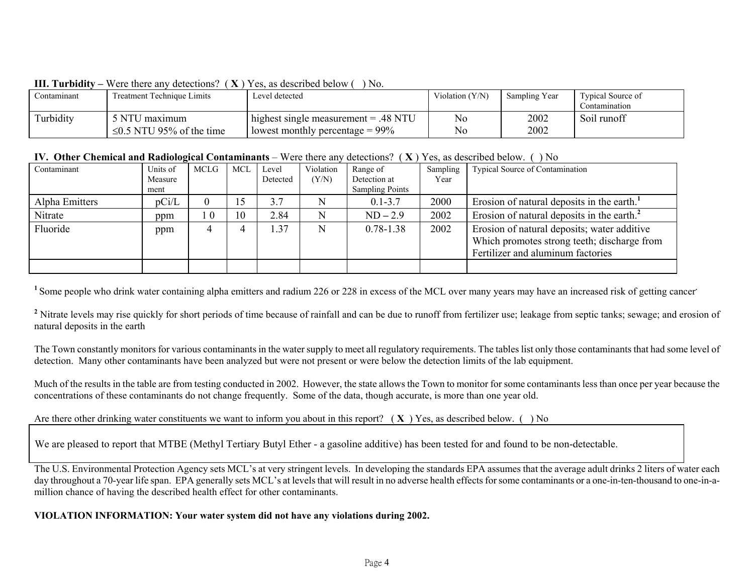| 111. 1 41 QIAIU | <u>o ciu inuiu alio duiuchime</u><br>$\overline{A}$ | T CS. as described below<br>11 V.      |                   |               |                   |
|-----------------|-----------------------------------------------------|----------------------------------------|-------------------|---------------|-------------------|
| Contaminant     | Treatment Technique Limits                          | Level detected                         | Violation $(Y/N)$ | Sampling Year | Typical Source of |
|                 |                                                     |                                        |                   |               | Contamination     |
| Turbidity       | 5 NTU maximum                                       | highest single measurement $= .48$ NTU | No                | 2002          | Soil runoff       |
|                 | $\leq$ 0.5 NTU 95% of the time                      | lowest monthly percentage $= 99\%$     | No                | 2002          |                   |

#### **III. Turbidity** Were there any detections?  $(\mathbf{Y})$  Ves, as described below ( ) No.

#### **IV. Other Chemical and Radiological Contaminants** – Were there any detections? ( **X** ) Yes, as described below. ( ) No

| Contaminant    | Units of | <b>MCLG</b> | <b>MCL</b> | Level    | Violation | Range of               | Sampling | Typical Source of Contamination                        |
|----------------|----------|-------------|------------|----------|-----------|------------------------|----------|--------------------------------------------------------|
|                | Measure  |             |            | Detected | (Y/N)     | Detection at           | Year     |                                                        |
|                | ment     |             |            |          |           | <b>Sampling Points</b> |          |                                                        |
| Alpha Emitters | pCi/L    |             | 15         | 3.7      |           | $0.1 - 3.7$            | 2000     | Erosion of natural deposits in the earth. <sup>1</sup> |
| Nitrate        | ppm      | $\cdot$ 0   | 10         | 2.84     | N         | $ND-2.9$               | 2002     | Erosion of natural deposits in the earth. <sup>2</sup> |
| Fluoride       | ppm      |             |            | .37      | N         | $0.78 - 1.38$          | 2002     | Erosion of natural deposits; water additive            |
|                |          |             |            |          |           |                        |          | Which promotes strong teeth; discharge from            |
|                |          |             |            |          |           |                        |          | Fertilizer and aluminum factories                      |
|                |          |             |            |          |           |                        |          |                                                        |

<sup>1</sup> Some people who drink water containing alpha emitters and radium 226 or 228 in excess of the MCL over many years may have an increased risk of getting cancer

<sup>2</sup> Nitrate levels may rise quickly for short periods of time because of rainfall and can be due to runoff from fertilizer use; leakage from septic tanks; sewage; and erosion of natural deposits in the earth

The Town constantly monitors for various contaminants in the water supply to meet all regulatory requirements. The tables list only those contaminants that had some level of detection. Many other contaminants have been analyzed but were not present or were below the detection limits of the lab equipment.

Much of the results in the table are from testing conducted in 2002. However, the state allows the Town to monitor for some contaminants less than once per year because the concentrations of these contaminants do not change frequently. Some of the data, though accurate, is more than one year old.

Are there other drinking water constituents we want to inform you about in this report? ( **X** ) Yes, as described below. ( ) No

We are pleased to report that MTBE (Methyl Tertiary Butyl Ether - a gasoline additive) has been tested for and found to be non-detectable.

The U.S. Environmental Protection Agency sets MCL's at very stringent levels. In developing the standards EPA assumes that the average adult drinks 2 liters of water each day throughout a 70-year life span. EPA generally sets MCL's at levels that will result in no adverse health effects for some contaminants or a one-in-ten-thousand to one-in-amillion chance of having the described health effect for other contaminants.

# **VIOLATION INFORMATION: Your water system did not have any violations during 2002.**